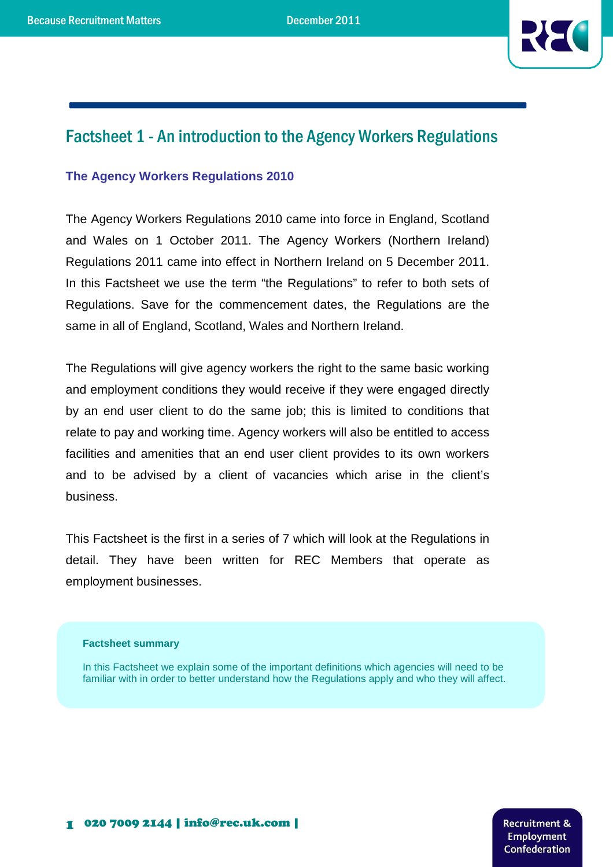

# Factsheet 1 - An introduction to the Agency Workers Regulations

#### **The Agency Workers Regulations 2010**

The Agency Workers Regulations 2010 came into force in England, Scotland and Wales on 1 October 2011. The Agency Workers (Northern Ireland) Regulations 2011 came into effect in Northern Ireland on 5 December 2011. In this Factsheet we use the term "the Regulations" to refer to both sets of Regulations. Save for the commencement dates, the Regulations are the same in all of England, Scotland, Wales and Northern Ireland.

The Regulations will give agency workers the right to the same basic working and employment conditions they would receive if they were engaged directly by an end user client to do the same job; this is limited to conditions that relate to pay and working time. Agency workers will also be entitled to access facilities and amenities that an end user client provides to its own workers and to be advised by a client of vacancies which arise in the client's business.

This Factsheet is the first in a series of 7 which will look at the Regulations in detail. They have been written for REC Members that operate as employment businesses.

#### **Factsheet summary**

In this Factsheet we explain some of the important definitions which agencies will need to be familiar with in order to better understand how the Regulations apply and who they will affect.

> **Recruitment & Employment** Confederation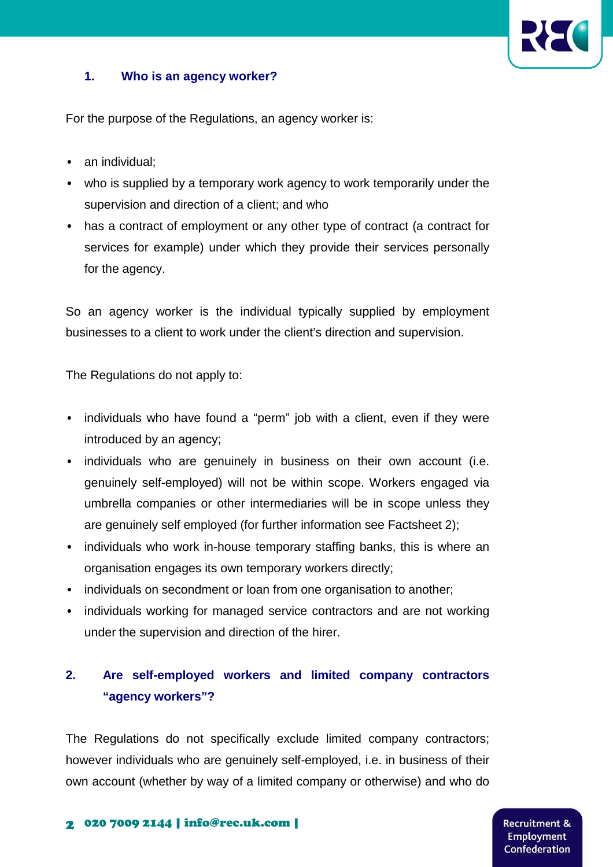

### **1. Who is an agency worker?**

For the purpose of the Regulations, an agency worker is:

- an individual:
- who is supplied by a temporary work agency to work temporarily under the supervision and direction of a client; and who
- has a contract of employment or any other type of contract (a contract for services for example) under which they provide their services personally for the agency.

So an agency worker is the individual typically supplied by employment businesses to a client to work under the client's direction and supervision.

The Regulations do not apply to:

- individuals who have found a "perm" job with a client, even if they were introduced by an agency;
- individuals who are genuinely in business on their own account (i.e. genuinely self-employed) will not be within scope. Workers engaged via umbrella companies or other intermediaries will be in scope unless they are genuinely self employed (for further information see Factsheet 2);
- individuals who work in-house temporary staffing banks, this is where an organisation engages its own temporary workers directly;
- individuals on secondment or loan from one organisation to another;
- individuals working for managed service contractors and are not working under the supervision and direction of the hirer.

### **2. Are self-employed workers and limited company contractors "agency workers"?**

The Regulations do not specifically exclude limited company contractors; however individuals who are genuinely self-employed, i.e. in business of their own account (whether by way of a limited company or otherwise) and who do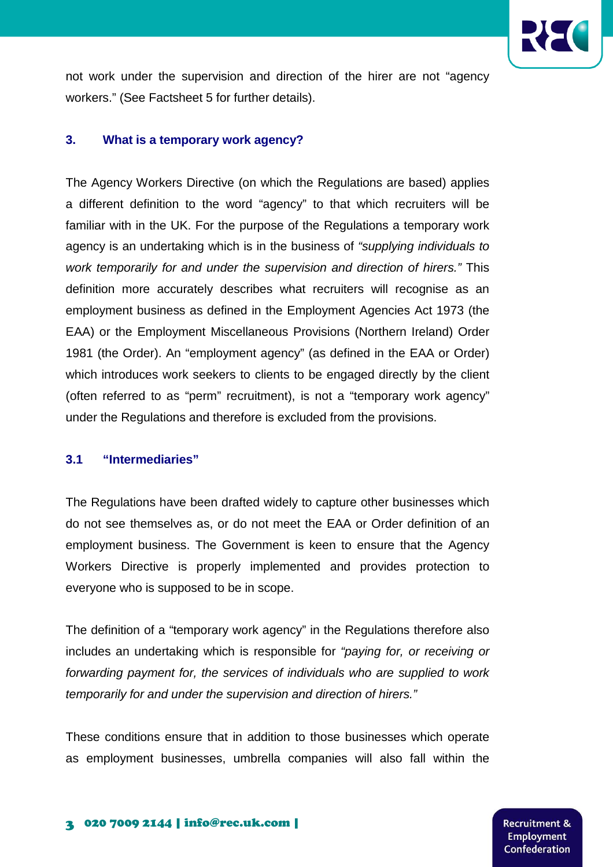

not work under the supervision and direction of the hirer are not "agency workers." (See Factsheet 5 for further details).

#### **3. What is a temporary work agency?**

The Agency Workers Directive (on which the Regulations are based) applies a different definition to the word "agency" to that which recruiters will be familiar with in the UK. For the purpose of the Regulations a temporary work agency is an undertaking which is in the business of "supplying individuals to work temporarily for and under the supervision and direction of hirers." This definition more accurately describes what recruiters will recognise as an employment business as defined in the Employment Agencies Act 1973 (the EAA) or the Employment Miscellaneous Provisions (Northern Ireland) Order 1981 (the Order). An "employment agency" (as defined in the EAA or Order) which introduces work seekers to clients to be engaged directly by the client (often referred to as "perm" recruitment), is not a "temporary work agency" under the Regulations and therefore is excluded from the provisions.

#### **3.1 "Intermediaries"**

The Regulations have been drafted widely to capture other businesses which do not see themselves as, or do not meet the EAA or Order definition of an employment business. The Government is keen to ensure that the Agency Workers Directive is properly implemented and provides protection to everyone who is supposed to be in scope.

The definition of a "temporary work agency" in the Regulations therefore also includes an undertaking which is responsible for "paying for, or receiving or forwarding payment for, the services of individuals who are supplied to work temporarily for and under the supervision and direction of hirers."

These conditions ensure that in addition to those businesses which operate as employment businesses, umbrella companies will also fall within the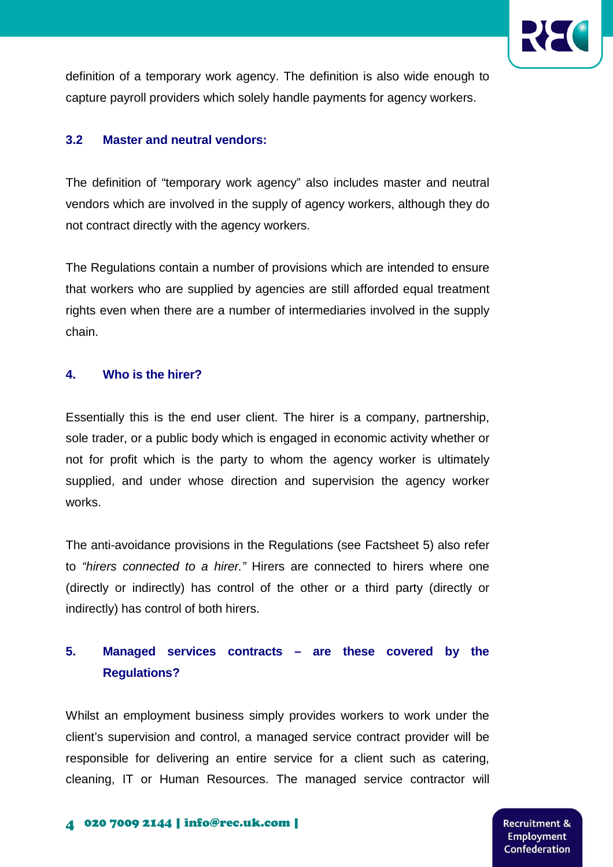

definition of a temporary work agency. The definition is also wide enough to capture payroll providers which solely handle payments for agency workers.

### **3.2 Master and neutral vendors:**

The definition of "temporary work agency" also includes master and neutral vendors which are involved in the supply of agency workers, although they do not contract directly with the agency workers.

The Regulations contain a number of provisions which are intended to ensure that workers who are supplied by agencies are still afforded equal treatment rights even when there are a number of intermediaries involved in the supply chain.

### **4. Who is the hirer?**

Essentially this is the end user client. The hirer is a company, partnership, sole trader, or a public body which is engaged in economic activity whether or not for profit which is the party to whom the agency worker is ultimately supplied, and under whose direction and supervision the agency worker works.

The anti-avoidance provisions in the Regulations (see Factsheet 5) also refer to "hirers connected to a hirer." Hirers are connected to hirers where one (directly or indirectly) has control of the other or a third party (directly or indirectly) has control of both hirers.

## **5. Managed services contracts – are these covered by the Regulations?**

Whilst an employment business simply provides workers to work under the client's supervision and control, a managed service contract provider will be responsible for delivering an entire service for a client such as catering, cleaning, IT or Human Resources. The managed service contractor will